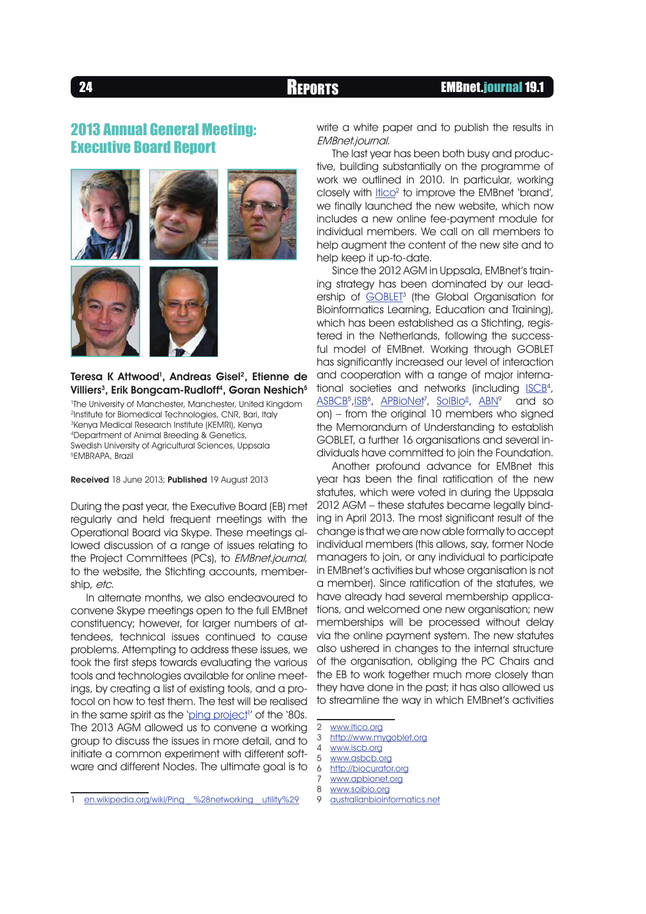# **2013 Annual General Meeting: Executive Board Report**







## Teresa K Attwood<sup>1</sup>, Andreas Gisel<sup>2</sup>, Etienne de Villiers<sup>3</sup>, Erik Bongcam-Rudloff<sup>4</sup>, Goran Neshich<sup>5</sup>

 The University of Manchester, Manchester, United Kingdom Institute for Biomedical Technologies, CNR, Bari, Italy <sup>3</sup>Kenya Medical Research Institute (KEMRI), Kenya Department of Animal Breeding & Genetics, Swedish University of Agricultural Sciences, Uppsala EMBRAPA, Brazil

Received 18 June 2013; Published 19 August 2013

During the past year, the Executive Board (EB) met regularly and held frequent meetings with the Operational Board via Skype. These meetings allowed discussion of a range of issues relating to the Project Committees (PCs), to EMBnet.journal, to the website, the Stichting accounts, membership, etc.

In alternate months, we also endeavoured to convene Skype meetings open to the full EMBnet constituency; however, for larger numbers of attendees, technical issues continued to cause problems. Attempting to address these issues, we took the first steps towards evaluating the various tools and technologies available for online meetings, by creating a list of existing tools, and a protocol on how to test them. The test will be realised in the same spirit as the '<u>ping project</u>!' of the '80s. The 2013 AGM allowed us to convene a working group to discuss the issues in more detail, and to initiate a common experiment with different software and different Nodes. The ultimate goal is to

write a white paper and to publish the results in EMBnet.journal.

The last year has been both busy and productive, building substantially on the programme of work we outlined in 2010. In particular, working closely with <u>Itico</u><sup>2</sup> to improve the EMBnet 'brand', we finally launched the new website, which now includes a new online fee-payment module for individual members. We call on all members to help augment the content of the new site and to help keep it up-to-date.

Since the 2012 AGM in Uppsala, EMBnet's training strategy has been dominated by our leadership of <u>GOBLET</u><sup>3</sup> (the Global Organisation for Bioinformatics Learning, Education and Training), which has been established as a Stichting, registered in the Netherlands, following the successful model of EMBnet. Working through GOBLET has significantly increased our level of interaction and cooperation with a range of major international societies and networks (including <u>ISCB</u>4, <u>ASBCB5,ISB6, APBioNet3, SolBio8, ABN</u>9 and so on) – from the original 10 members who signed the Memorandum of Understanding to establish GOBLET, a further 16 organisations and several individuals have committed to join the Foundation.

Another profound advance for EMBnet this year has been the final ratification of the new statutes, which were voted in during the Uppsala 2012 AGM – these statutes became legally binding in April 2013. The most significant result of the change is that we are now able formally to accept individual members (this allows, say, former Node managers to join, or any individual to participate in EMBnet's activities but whose organisation is not a member). Since ratification of the statutes, we have already had several membership applications, and welcomed one new organisation; new memberships will be processed without delay via the online payment system. The new statutes also ushered in changes to the internal structure of the organisation, obliging the PC Chairs and the EB to work together much more closely than they have done in the past; it has also allowed us to streamline the way in which EMBnet's activities

3 http://www.mygoblet.org

- 5 www.asbcb.org<br>6 http://biocurator
- 6 http://biocurator.org
- 7 www.apbionet.org
- 8 www.soibio.org
- 9 australianbioinformatics.net

<sup>1</sup> en.wikipedia.org/wiki/Ping %28networking utility%29

<sup>2</sup> www.itico.org

<sup>4 &</sup>lt;u>www.iscb.org</u>